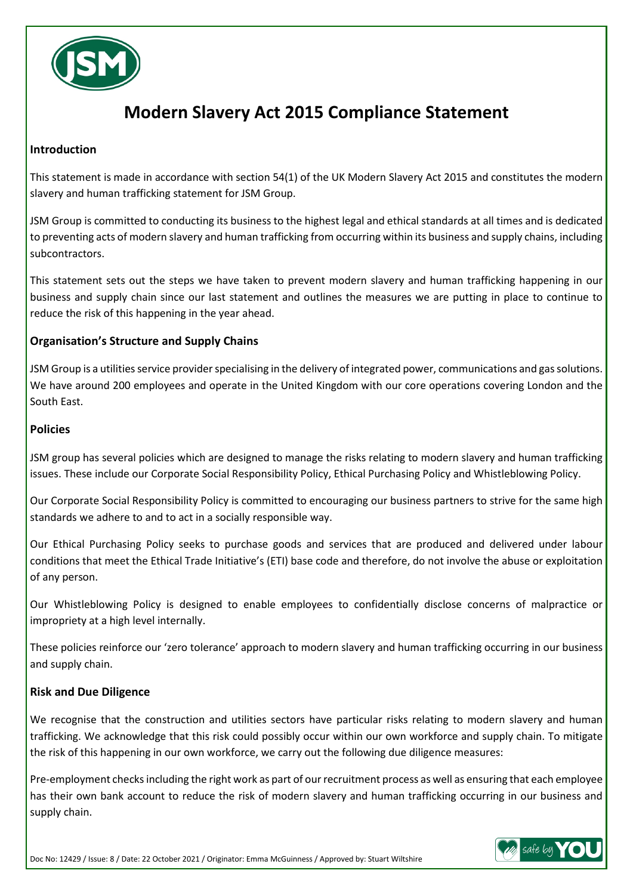

# **Modern Slavery Act 2015 Compliance Statement**

## **Introduction**

This statement is made in accordance with section 54(1) of the UK Modern Slavery Act 2015 and constitutes the modern slavery and human trafficking statement for JSM Group.

JSM Group is committed to conducting its business to the highest legal and ethical standards at all times and is dedicated to preventing acts of modern slavery and human trafficking from occurring within its business and supply chains, including subcontractors.

This statement sets out the steps we have taken to prevent modern slavery and human trafficking happening in our business and supply chain since our last statement and outlines the measures we are putting in place to continue to reduce the risk of this happening in the year ahead.

# **Organisation's Structure and Supply Chains**

JSM Group is a utilities service provider specialising in the delivery of integrated power, communications and gas solutions. We have around 200 employees and operate in the United Kingdom with our core operations covering London and the South East.

#### **Policies**

JSM group has several policies which are designed to manage the risks relating to modern slavery and human trafficking issues. These include our Corporate Social Responsibility Policy, Ethical Purchasing Policy and Whistleblowing Policy.

Our Corporate Social Responsibility Policy is committed to encouraging our business partners to strive for the same high standards we adhere to and to act in a socially responsible way.

Our Ethical Purchasing Policy seeks to purchase goods and services that are produced and delivered under labour conditions that meet the Ethical Trade Initiative's (ETI) base code and therefore, do not involve the abuse or exploitation of any person.

Our Whistleblowing Policy is designed to enable employees to confidentially disclose concerns of malpractice or impropriety at a high level internally.

These policies reinforce our 'zero tolerance' approach to modern slavery and human trafficking occurring in our business and supply chain.

#### **Risk and Due Diligence**

We recognise that the construction and utilities sectors have particular risks relating to modern slavery and human trafficking. We acknowledge that this risk could possibly occur within our own workforce and supply chain. To mitigate the risk of this happening in our own workforce, we carry out the following due diligence measures:

Pre-employment checks including the right work as part of our recruitment process as well as ensuring that each employee has their own bank account to reduce the risk of modern slavery and human trafficking occurring in our business and supply chain.